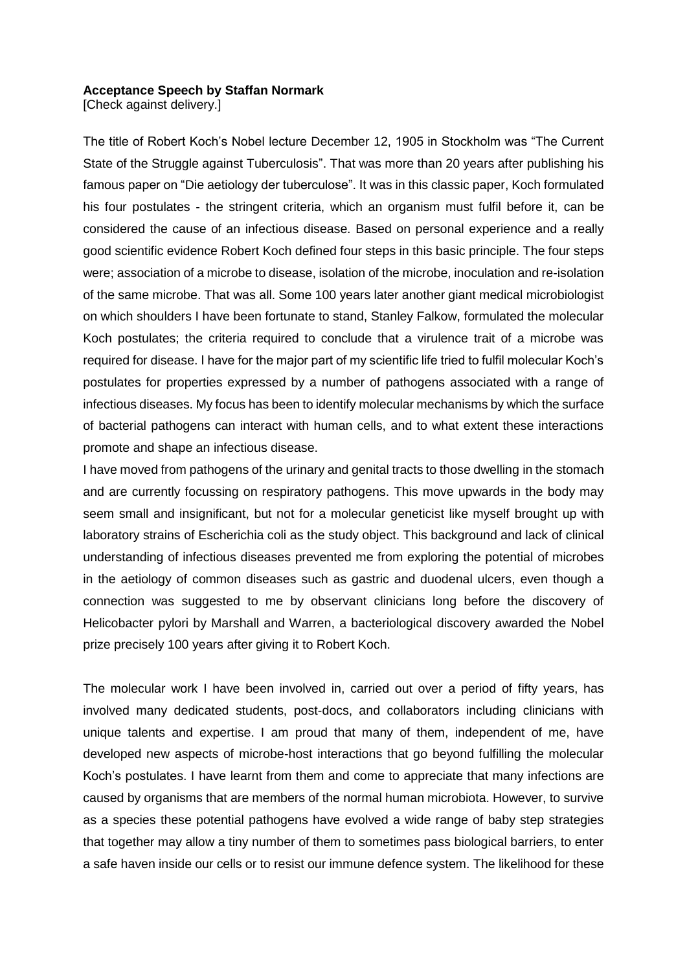## **Acceptance Speech by Staffan Normark**

[Check against delivery.]

The title of Robert Koch's Nobel lecture December 12, 1905 in Stockholm was "The Current State of the Struggle against Tuberculosis". That was more than 20 years after publishing his famous paper on "Die aetiology der tuberculose". It was in this classic paper, Koch formulated his four postulates - the stringent criteria, which an organism must fulfil before it, can be considered the cause of an infectious disease. Based on personal experience and a really good scientific evidence Robert Koch defined four steps in this basic principle. The four steps were; association of a microbe to disease, isolation of the microbe, inoculation and re-isolation of the same microbe. That was all. Some 100 years later another giant medical microbiologist on which shoulders I have been fortunate to stand, Stanley Falkow, formulated the molecular Koch postulates; the criteria required to conclude that a virulence trait of a microbe was required for disease. I have for the major part of my scientific life tried to fulfil molecular Koch's postulates for properties expressed by a number of pathogens associated with a range of infectious diseases. My focus has been to identify molecular mechanisms by which the surface of bacterial pathogens can interact with human cells, and to what extent these interactions promote and shape an infectious disease.

I have moved from pathogens of the urinary and genital tracts to those dwelling in the stomach and are currently focussing on respiratory pathogens. This move upwards in the body may seem small and insignificant, but not for a molecular geneticist like myself brought up with laboratory strains of Escherichia coli as the study object. This background and lack of clinical understanding of infectious diseases prevented me from exploring the potential of microbes in the aetiology of common diseases such as gastric and duodenal ulcers, even though a connection was suggested to me by observant clinicians long before the discovery of Helicobacter pylori by Marshall and Warren, a bacteriological discovery awarded the Nobel prize precisely 100 years after giving it to Robert Koch.

The molecular work I have been involved in, carried out over a period of fifty years, has involved many dedicated students, post-docs, and collaborators including clinicians with unique talents and expertise. I am proud that many of them, independent of me, have developed new aspects of microbe-host interactions that go beyond fulfilling the molecular Koch's postulates. I have learnt from them and come to appreciate that many infections are caused by organisms that are members of the normal human microbiota. However, to survive as a species these potential pathogens have evolved a wide range of baby step strategies that together may allow a tiny number of them to sometimes pass biological barriers, to enter a safe haven inside our cells or to resist our immune defence system. The likelihood for these